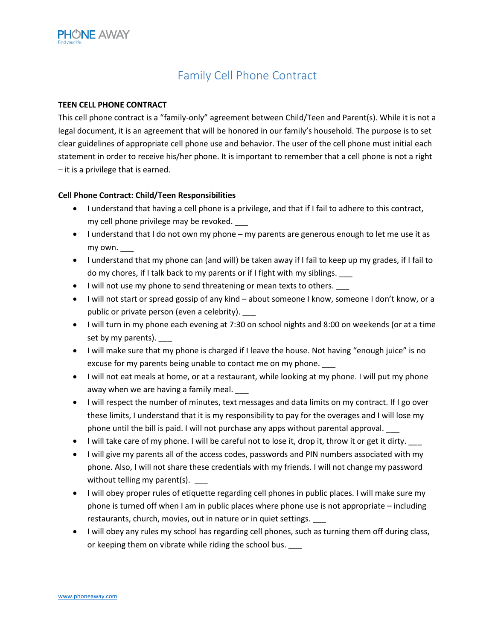

## Family Cell Phone Contract

## **TEEN CELL PHONE CONTRACT**

This cell phone contract is a "family-only" agreement between Child/Teen and Parent(s). While it is not a legal document, it is an agreement that will be honored in our family's household. The purpose is to set clear guidelines of appropriate cell phone use and behavior. The user of the cell phone must initial each statement in order to receive his/her phone. It is important to remember that a cell phone is not a right – it is a privilege that is earned.

## **Cell Phone Contract: Child/Teen Responsibilities**

- I understand that having a cell phone is a privilege, and that if I fail to adhere to this contract, my cell phone privilege may be revoked. \_\_\_
- I understand that I do not own my phone my parents are generous enough to let me use it as my own. \_\_\_
- I understand that my phone can (and will) be taken away if I fail to keep up my grades, if I fail to do my chores, if I talk back to my parents or if I fight with my siblings.
- I will not use my phone to send threatening or mean texts to others.  $\_\_$
- I will not start or spread gossip of any kind about someone I know, someone I don't know, or a public or private person (even a celebrity).
- I will turn in my phone each evening at 7:30 on school nights and 8:00 on weekends (or at a time set by my parents).
- I will make sure that my phone is charged if I leave the house. Not having "enough juice" is no excuse for my parents being unable to contact me on my phone.
- I will not eat meals at home, or at a restaurant, while looking at my phone. I will put my phone away when we are having a family meal.
- I will respect the number of minutes, text messages and data limits on my contract. If I go over these limits, I understand that it is my responsibility to pay for the overages and I will lose my phone until the bill is paid. I will not purchase any apps without parental approval. \_\_\_
- I will take care of my phone. I will be careful not to lose it, drop it, throw it or get it dirty.
- I will give my parents all of the access codes, passwords and PIN numbers associated with my phone. Also, I will not share these credentials with my friends. I will not change my password without telling my parent(s). \_\_\_\_
- I will obey proper rules of etiquette regarding cell phones in public places. I will make sure my phone is turned off when I am in public places where phone use is not appropriate – including restaurants, church, movies, out in nature or in quiet settings. \_\_\_
- I will obey any rules my school has regarding cell phones, such as turning them off during class, or keeping them on vibrate while riding the school bus.